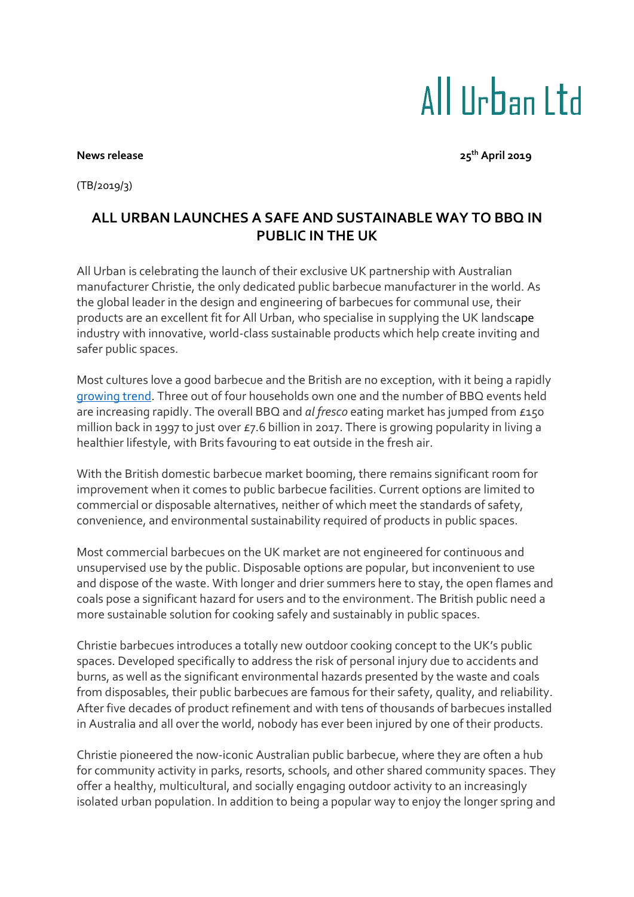## All IIrban I td

**News release 25th April 2019**

(TB/2019/3)

## **ALL URBAN LAUNCHES A SAFE AND SUSTAINABLE WAY TO BBQ IN PUBLIC IN THE UK**

All Urban is celebrating the launch of their exclusive UK partnership with Australian manufacturer Christie, the only dedicated public barbecue manufacturer in the world. As the global leader in the design and engineering of barbecues for communal use, their products are an excellent fit for All Urban, who specialise in supplying the UK landscape industry with innovative, world-class sustainable products which help create inviting and safer public spaces.

Most cultures love a good barbecue and the British are no exception, with it being a rapidly [growing trend.](http://nationalbbqweek.co.uk/facts/) Three out of four households own one and the number of BBQ events held are increasing rapidly. The overall BBQ and *al fresco* eating market has jumped from £150 million back in 1997 to just over £7.6 billion in 2017. There is growing popularity in living a healthier lifestyle, with Brits favouring to eat outside in the fresh air.

With the British domestic barbecue market booming, there remains significant room for improvement when it comes to public barbecue facilities. Current options are limited to commercial or disposable alternatives, neither of which meet the standards of safety, convenience, and environmental sustainability required of products in public spaces.

Most commercial barbecues on the UK market are not engineered for continuous and unsupervised use by the public. Disposable options are popular, but inconvenient to use and dispose of the waste. With longer and drier summers here to stay, the open flames and coals pose a significant hazard for users and to the environment. The British public need a more sustainable solution for cooking safely and sustainably in public spaces.

Christie barbecues introduces a totally new outdoor cooking concept to the UK's public spaces. Developed specifically to address the risk of personal injury due to accidents and burns, as well as the significant environmental hazards presented by the waste and coals from disposables, their public barbecues are famous for their safety, quality, and reliability. After five decades of product refinement and with tens of thousands of barbecues installed in Australia and all over the world, nobody has ever been injured by one of their products.

Christie pioneered the now-iconic Australian public barbecue, where they are often a hub for community activity in parks, resorts, schools, and other shared community spaces. They offer a healthy, multicultural, and socially engaging outdoor activity to an increasingly isolated urban population. In addition to being a popular way to enjoy the longer spring and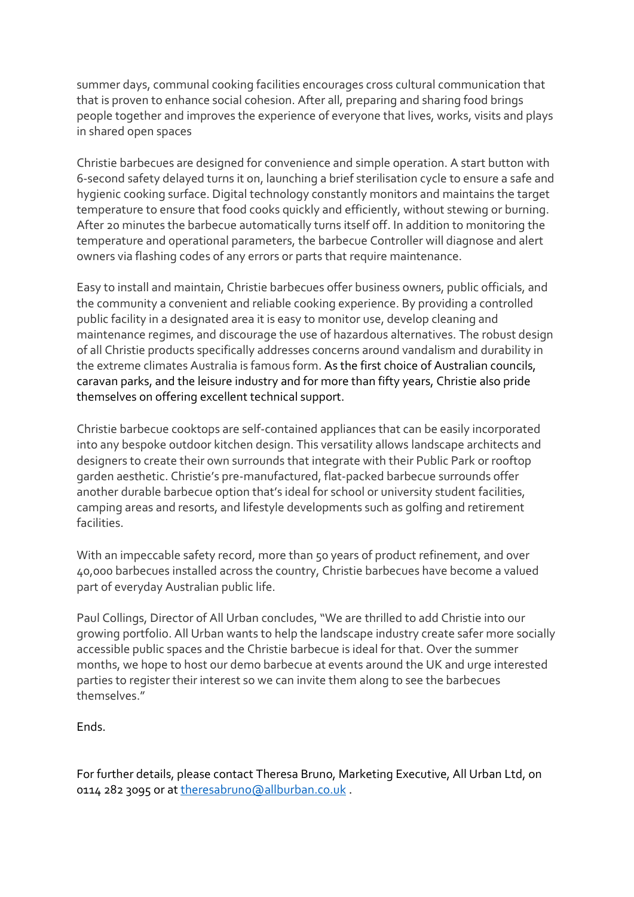summer days, communal cooking facilities encourages cross cultural communication that that is proven to enhance social cohesion. After all, preparing and sharing food brings people together and improves the experience of everyone that lives, works, visits and plays in shared open spaces

Christie barbecues are designed for convenience and simple operation. A start button with 6-second safety delayed turns it on, launching a brief sterilisation cycle to ensure a safe and hygienic cooking surface. Digital technology constantly monitors and maintains the target temperature to ensure that food cooks quickly and efficiently, without stewing or burning. After 20 minutes the barbecue automatically turns itself off. In addition to monitoring the temperature and operational parameters, the barbecue Controller will diagnose and alert owners via flashing codes of any errors or parts that require maintenance.

Easy to install and maintain, Christie barbecues offer business owners, public officials, and the community a convenient and reliable cooking experience. By providing a controlled public facility in a designated area it is easy to monitor use, develop cleaning and maintenance regimes, and discourage the use of hazardous alternatives. The robust design of all Christie products specifically addresses concerns around vandalism and durability in the extreme climates Australia is famous form. As the first choice of Australian councils, caravan parks, and the leisure industry and for more than fifty years, Christie also pride themselves on offering excellent technical support.

Christie barbecue cooktops are self-contained appliances that can be easily incorporated into any bespoke outdoor kitchen design. This versatility allows landscape architects and designers to create their own surrounds that integrate with their Public Park or rooftop garden aesthetic. Christie's pre-manufactured, flat-packed barbecue surrounds offer another durable barbecue option that's ideal for school or university student facilities, camping areas and resorts, and lifestyle developments such as golfing and retirement facilities.

With an impeccable safety record, more than 50 years of product refinement, and over 40,000 barbecues installed across the country, Christie barbecues have become a valued part of everyday Australian public life.

Paul Collings, Director of All Urban concludes, "We are thrilled to add Christie into our growing portfolio. All Urban wants to help the landscape industry create safer more socially accessible public spaces and the Christie barbecue is ideal for that. Over the summer months, we hope to host our demo barbecue at events around the UK and urge interested parties to register their interest so we can invite them along to see the barbecues themselves."

Ends.

For further details, please contact Theresa Bruno, Marketing Executive, All Urban Ltd, on 0114 282 3095 or a[t theresabruno@allburban.co.uk](mailto:theresabruno@allburban.co.uk).